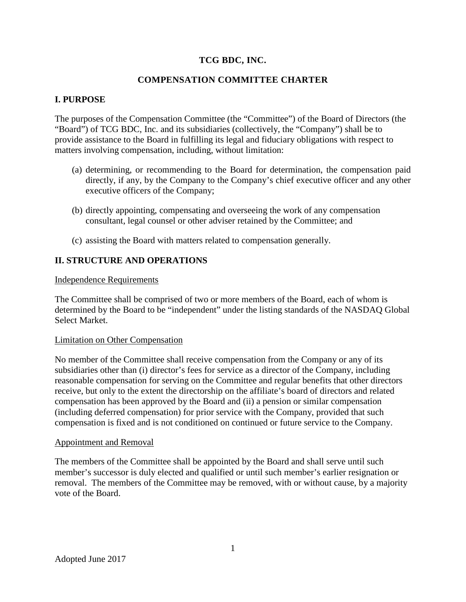# **TCG BDC, INC.**

# **COMPENSATION COMMITTEE CHARTER**

## **I. PURPOSE**

The purposes of the Compensation Committee (the "Committee") of the Board of Directors (the "Board") of TCG BDC, Inc. and its subsidiaries (collectively, the "Company") shall be to provide assistance to the Board in fulfilling its legal and fiduciary obligations with respect to matters involving compensation, including, without limitation:

- (a) determining, or recommending to the Board for determination, the compensation paid directly, if any, by the Company to the Company's chief executive officer and any other executive officers of the Company;
- (b) directly appointing, compensating and overseeing the work of any compensation consultant, legal counsel or other adviser retained by the Committee; and
- (c) assisting the Board with matters related to compensation generally.

## **II. STRUCTURE AND OPERATIONS**

#### Independence Requirements

The Committee shall be comprised of two or more members of the Board, each of whom is determined by the Board to be "independent" under the listing standards of the NASDAQ Global Select Market.

#### Limitation on Other Compensation

No member of the Committee shall receive compensation from the Company or any of its subsidiaries other than (i) director's fees for service as a director of the Company, including reasonable compensation for serving on the Committee and regular benefits that other directors receive, but only to the extent the directorship on the affiliate's board of directors and related compensation has been approved by the Board and (ii) a pension or similar compensation (including deferred compensation) for prior service with the Company, provided that such compensation is fixed and is not conditioned on continued or future service to the Company.

#### Appointment and Removal

The members of the Committee shall be appointed by the Board and shall serve until such member's successor is duly elected and qualified or until such member's earlier resignation or removal. The members of the Committee may be removed, with or without cause, by a majority vote of the Board.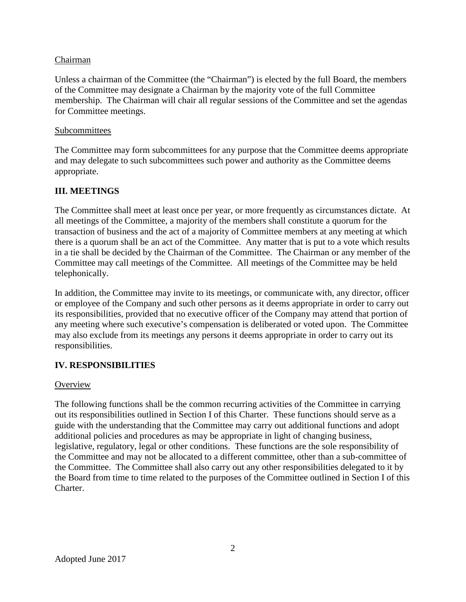## Chairman

Unless a chairman of the Committee (the "Chairman") is elected by the full Board, the members of the Committee may designate a Chairman by the majority vote of the full Committee membership. The Chairman will chair all regular sessions of the Committee and set the agendas for Committee meetings.

### Subcommittees

The Committee may form subcommittees for any purpose that the Committee deems appropriate and may delegate to such subcommittees such power and authority as the Committee deems appropriate.

## **III. MEETINGS**

The Committee shall meet at least once per year, or more frequently as circumstances dictate. At all meetings of the Committee, a majority of the members shall constitute a quorum for the transaction of business and the act of a majority of Committee members at any meeting at which there is a quorum shall be an act of the Committee. Any matter that is put to a vote which results in a tie shall be decided by the Chairman of the Committee. The Chairman or any member of the Committee may call meetings of the Committee. All meetings of the Committee may be held telephonically.

In addition, the Committee may invite to its meetings, or communicate with, any director, officer or employee of the Company and such other persons as it deems appropriate in order to carry out its responsibilities, provided that no executive officer of the Company may attend that portion of any meeting where such executive's compensation is deliberated or voted upon. The Committee may also exclude from its meetings any persons it deems appropriate in order to carry out its responsibilities.

# **IV. RESPONSIBILITIES**

### **Overview**

The following functions shall be the common recurring activities of the Committee in carrying out its responsibilities outlined in Section I of this Charter. These functions should serve as a guide with the understanding that the Committee may carry out additional functions and adopt additional policies and procedures as may be appropriate in light of changing business, legislative, regulatory, legal or other conditions. These functions are the sole responsibility of the Committee and may not be allocated to a different committee, other than a sub-committee of the Committee. The Committee shall also carry out any other responsibilities delegated to it by the Board from time to time related to the purposes of the Committee outlined in Section I of this Charter.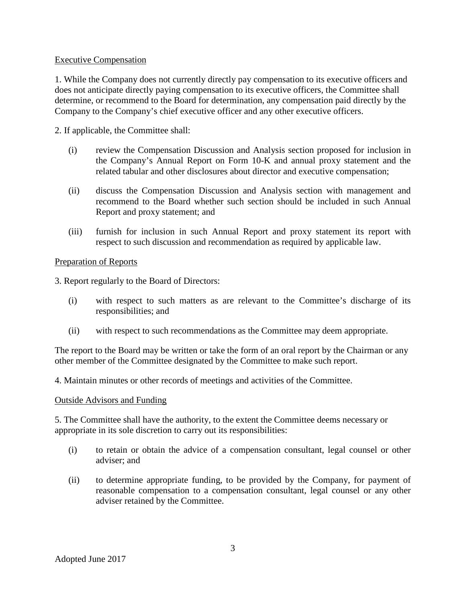## Executive Compensation

1. While the Company does not currently directly pay compensation to its executive officers and does not anticipate directly paying compensation to its executive officers, the Committee shall determine, or recommend to the Board for determination, any compensation paid directly by the Company to the Company's chief executive officer and any other executive officers.

2. If applicable, the Committee shall:

- (i) review the Compensation Discussion and Analysis section proposed for inclusion in the Company's Annual Report on Form 10-K and annual proxy statement and the related tabular and other disclosures about director and executive compensation;
- (ii) discuss the Compensation Discussion and Analysis section with management and recommend to the Board whether such section should be included in such Annual Report and proxy statement; and
- (iii) furnish for inclusion in such Annual Report and proxy statement its report with respect to such discussion and recommendation as required by applicable law.

## Preparation of Reports

3. Report regularly to the Board of Directors:

- (i) with respect to such matters as are relevant to the Committee's discharge of its responsibilities; and
- (ii) with respect to such recommendations as the Committee may deem appropriate.

The report to the Board may be written or take the form of an oral report by the Chairman or any other member of the Committee designated by the Committee to make such report.

4. Maintain minutes or other records of meetings and activities of the Committee.

### Outside Advisors and Funding

5. The Committee shall have the authority, to the extent the Committee deems necessary or appropriate in its sole discretion to carry out its responsibilities:

- (i) to retain or obtain the advice of a compensation consultant, legal counsel or other adviser; and
- (ii) to determine appropriate funding, to be provided by the Company, for payment of reasonable compensation to a compensation consultant, legal counsel or any other adviser retained by the Committee.